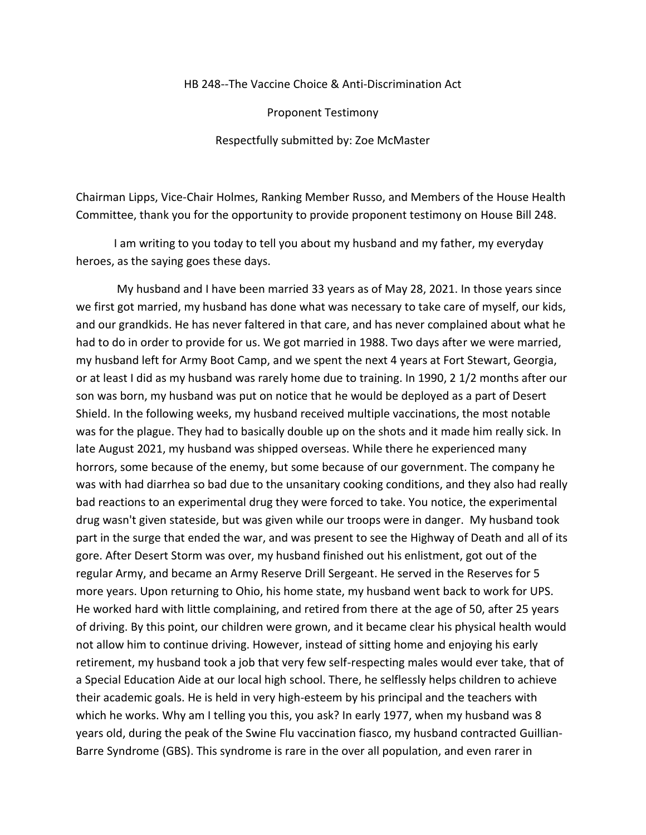## HB 248--The Vaccine Choice & Anti-Discrimination Act

Proponent Testimony

Respectfully submitted by: Zoe McMaster

Chairman Lipps, Vice-Chair Holmes, Ranking Member Russo, and Members of the House Health Committee, thank you for the opportunity to provide proponent testimony on House Bill 248.

I am writing to you today to tell you about my husband and my father, my everyday heroes, as the saying goes these days.

My husband and I have been married 33 years as of May 28, 2021. In those years since we first got married, my husband has done what was necessary to take care of myself, our kids, and our grandkids. He has never faltered in that care, and has never complained about what he had to do in order to provide for us. We got married in 1988. Two days after we were married, my husband left for Army Boot Camp, and we spent the next 4 years at Fort Stewart, Georgia, or at least I did as my husband was rarely home due to training. In 1990, 2 1/2 months after our son was born, my husband was put on notice that he would be deployed as a part of Desert Shield. In the following weeks, my husband received multiple vaccinations, the most notable was for the plague. They had to basically double up on the shots and it made him really sick. In late August 2021, my husband was shipped overseas. While there he experienced many horrors, some because of the enemy, but some because of our government. The company he was with had diarrhea so bad due to the unsanitary cooking conditions, and they also had really bad reactions to an experimental drug they were forced to take. You notice, the experimental drug wasn't given stateside, but was given while our troops were in danger. My husband took part in the surge that ended the war, and was present to see the Highway of Death and all of its gore. After Desert Storm was over, my husband finished out his enlistment, got out of the regular Army, and became an Army Reserve Drill Sergeant. He served in the Reserves for 5 more years. Upon returning to Ohio, his home state, my husband went back to work for UPS. He worked hard with little complaining, and retired from there at the age of 50, after 25 years of driving. By this point, our children were grown, and it became clear his physical health would not allow him to continue driving. However, instead of sitting home and enjoying his early retirement, my husband took a job that very few self-respecting males would ever take, that of a Special Education Aide at our local high school. There, he selflessly helps children to achieve their academic goals. He is held in very high-esteem by his principal and the teachers with which he works. Why am I telling you this, you ask? In early 1977, when my husband was 8 years old, during the peak of the Swine Flu vaccination fiasco, my husband contracted Guillian-Barre Syndrome (GBS). This syndrome is rare in the over all population, and even rarer in